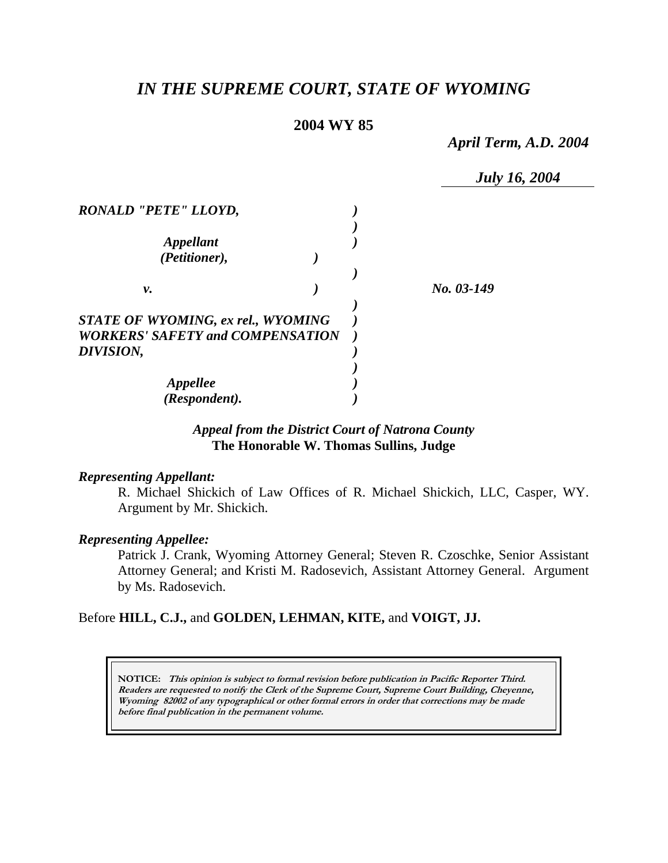# *IN THE SUPREME COURT, STATE OF WYOMING*

# **2004 WY 85**

*April Term, A.D. 2004* 

|                                         | <b>July 16, 2004</b> |
|-----------------------------------------|----------------------|
| <b>RONALD "PETE" LLOYD,</b>             |                      |
| <i><b>Appellant</b></i>                 |                      |
| (Petitioner),                           |                      |
| ν.                                      | No. 03-149           |
| STATE OF WYOMING, ex rel., WYOMING      |                      |
| <b>WORKERS' SAFETY and COMPENSATION</b> |                      |
| DIVISION,                               |                      |
|                                         |                      |
| <b>Appellee</b>                         |                      |
| (Respondent).                           |                      |

# *Appeal from the District Court of Natrona County* **The Honorable W. Thomas Sullins, Judge**

#### *Representing Appellant:*

R. Michael Shickich of Law Offices of R. Michael Shickich, LLC, Casper, WY. Argument by Mr. Shickich.

#### *Representing Appellee:*

Patrick J. Crank, Wyoming Attorney General; Steven R. Czoschke, Senior Assistant Attorney General; and Kristi M. Radosevich, Assistant Attorney General. Argument by Ms. Radosevich.

# Before **HILL, C.J.,** and **GOLDEN, LEHMAN, KITE,** and **VOIGT, JJ.**

**NOTICE: This opinion is subject to formal revision before publication in Pacific Reporter Third. Readers are requested to notify the Clerk of the Supreme Court, Supreme Court Building, Cheyenne, Wyoming 82002 of any typographical or other formal errors in order that corrections may be made before final publication in the permanent volume.**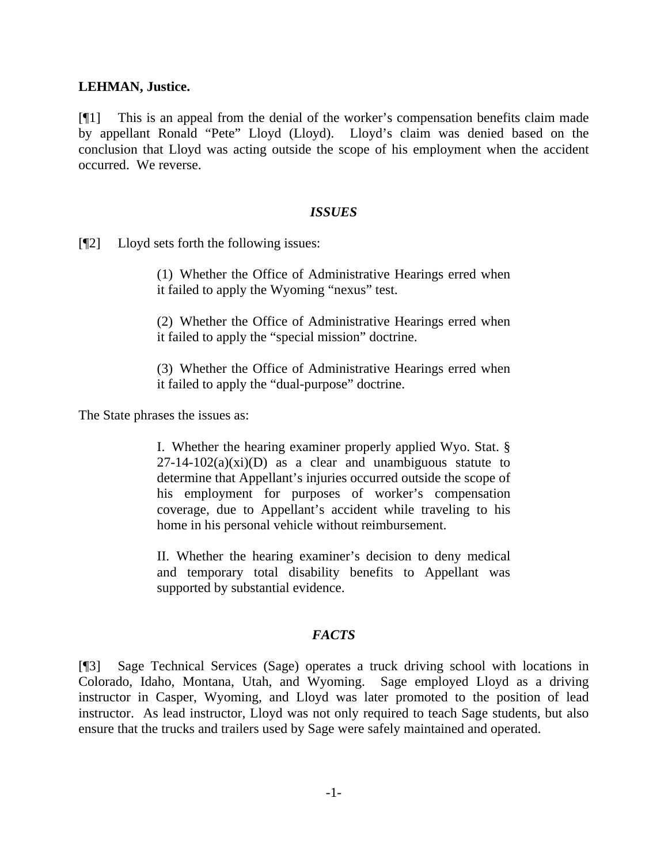## **LEHMAN, Justice.**

[¶1] This is an appeal from the denial of the worker's compensation benefits claim made by appellant Ronald "Pete" Lloyd (Lloyd). Lloyd's claim was denied based on the conclusion that Lloyd was acting outside the scope of his employment when the accident occurred. We reverse.

### *ISSUES*

[¶2] Lloyd sets forth the following issues:

(1) Whether the Office of Administrative Hearings erred when it failed to apply the Wyoming "nexus" test.

(2) Whether the Office of Administrative Hearings erred when it failed to apply the "special mission" doctrine.

(3) Whether the Office of Administrative Hearings erred when it failed to apply the "dual-purpose" doctrine.

The State phrases the issues as:

I. Whether the hearing examiner properly applied Wyo. Stat. §  $27-14-102(a)(xi)$  as a clear and unambiguous statute to determine that Appellant's injuries occurred outside the scope of his employment for purposes of worker's compensation coverage, due to Appellant's accident while traveling to his home in his personal vehicle without reimbursement.

II. Whether the hearing examiner's decision to deny medical and temporary total disability benefits to Appellant was supported by substantial evidence.

### *FACTS*

[¶3] Sage Technical Services (Sage) operates a truck driving school with locations in Colorado, Idaho, Montana, Utah, and Wyoming. Sage employed Lloyd as a driving instructor in Casper, Wyoming, and Lloyd was later promoted to the position of lead instructor. As lead instructor, Lloyd was not only required to teach Sage students, but also ensure that the trucks and trailers used by Sage were safely maintained and operated.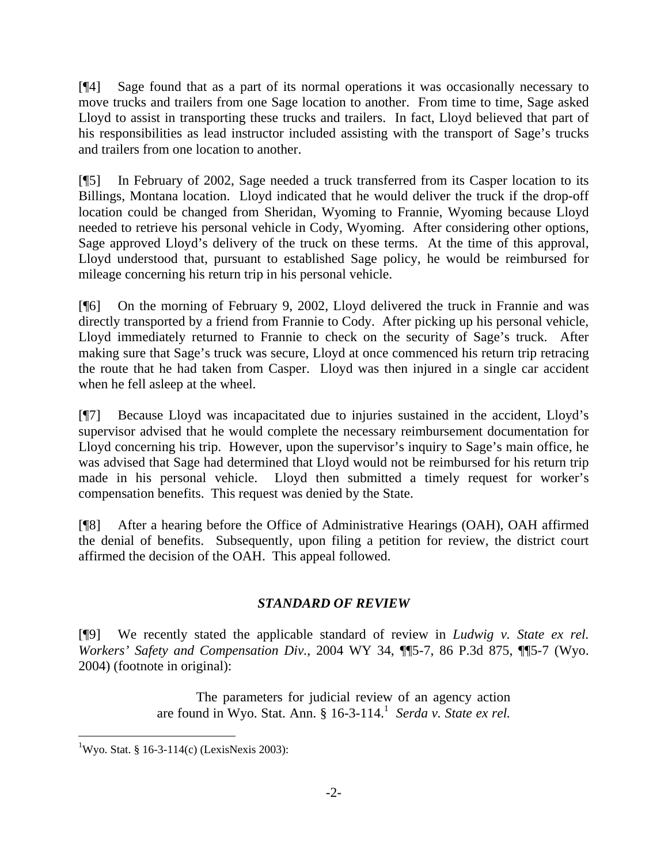[¶4] Sage found that as a part of its normal operations it was occasionally necessary to move trucks and trailers from one Sage location to another. From time to time, Sage asked Lloyd to assist in transporting these trucks and trailers. In fact, Lloyd believed that part of his responsibilities as lead instructor included assisting with the transport of Sage's trucks and trailers from one location to another.

[¶5] In February of 2002, Sage needed a truck transferred from its Casper location to its Billings, Montana location. Lloyd indicated that he would deliver the truck if the drop-off location could be changed from Sheridan, Wyoming to Frannie, Wyoming because Lloyd needed to retrieve his personal vehicle in Cody, Wyoming. After considering other options, Sage approved Lloyd's delivery of the truck on these terms. At the time of this approval, Lloyd understood that, pursuant to established Sage policy, he would be reimbursed for mileage concerning his return trip in his personal vehicle.

[¶6] On the morning of February 9, 2002, Lloyd delivered the truck in Frannie and was directly transported by a friend from Frannie to Cody. After picking up his personal vehicle, Lloyd immediately returned to Frannie to check on the security of Sage's truck. After making sure that Sage's truck was secure, Lloyd at once commenced his return trip retracing the route that he had taken from Casper. Lloyd was then injured in a single car accident when he fell asleep at the wheel.

[¶7] Because Lloyd was incapacitated due to injuries sustained in the accident, Lloyd's supervisor advised that he would complete the necessary reimbursement documentation for Lloyd concerning his trip. However, upon the supervisor's inquiry to Sage's main office, he was advised that Sage had determined that Lloyd would not be reimbursed for his return trip made in his personal vehicle. Lloyd then submitted a timely request for worker's compensation benefits. This request was denied by the State.

[¶8] After a hearing before the Office of Administrative Hearings (OAH), OAH affirmed the denial of benefits. Subsequently, upon filing a petition for review, the district court affirmed the decision of the OAH. This appeal followed.

# *STANDARD OF REVIEW*

[¶9] We recently stated the applicable standard of review in *Ludwig v. State ex rel. Workers' Safety and Compensation Div.*, 2004 WY 34, ¶¶5-7, 86 P.3d 875, ¶¶5-7 (Wyo. 2004) (footnote in original):

> The parameters for judicial review of an agency action are found in Wyo. Stat. Ann. § 16-3-114.<sup>1</sup> Serda v. State ex rel.

 $\overline{a}$ <sup>1</sup>Wyo. Stat. § 16-3-114(c) (LexisNexis 2003):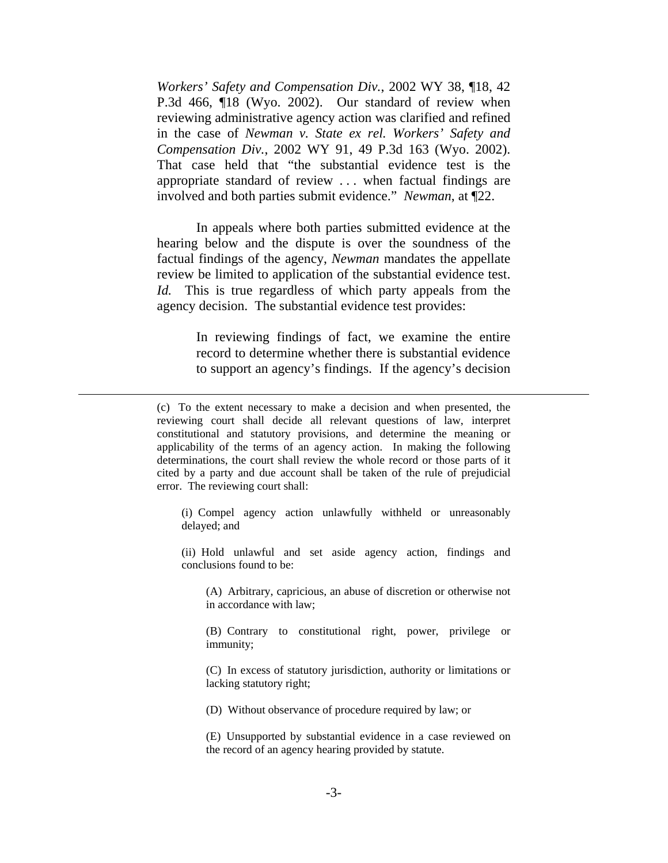*Workers' Safety and Compensation Div.*, 2002 WY 38, ¶18, 42 P.3d 466, ¶18 (Wyo. 2002). Our standard of review when reviewing administrative agency action was clarified and refined in the case of *Newman v. State ex rel. Workers' Safety and Compensation Div.*, 2002 WY 91, 49 P.3d 163 (Wyo. 2002). That case held that "the substantial evidence test is the appropriate standard of review . . . when factual findings are involved and both parties submit evidence." *Newman*, at ¶22.

 In appeals where both parties submitted evidence at the hearing below and the dispute is over the soundness of the factual findings of the agency, *Newman* mandates the appellate review be limited to application of the substantial evidence test. *Id.* This is true regardless of which party appeals from the agency decision. The substantial evidence test provides:

> In reviewing findings of fact, we examine the entire record to determine whether there is substantial evidence to support an agency's findings. If the agency's decision

 $\overline{a}$ 

(i) Compel agency action unlawfully withheld or unreasonably delayed; and

(ii) Hold unlawful and set aside agency action, findings and conclusions found to be:

(A) Arbitrary, capricious, an abuse of discretion or otherwise not in accordance with law;

(B) Contrary to constitutional right, power, privilege or immunity;

(C) In excess of statutory jurisdiction, authority or limitations or lacking statutory right;

(D) Without observance of procedure required by law; or

(E) Unsupported by substantial evidence in a case reviewed on the record of an agency hearing provided by statute.

<sup>(</sup>c) To the extent necessary to make a decision and when presented, the reviewing court shall decide all relevant questions of law, interpret constitutional and statutory provisions, and determine the meaning or applicability of the terms of an agency action. In making the following determinations, the court shall review the whole record or those parts of it cited by a party and due account shall be taken of the rule of prejudicial error. The reviewing court shall: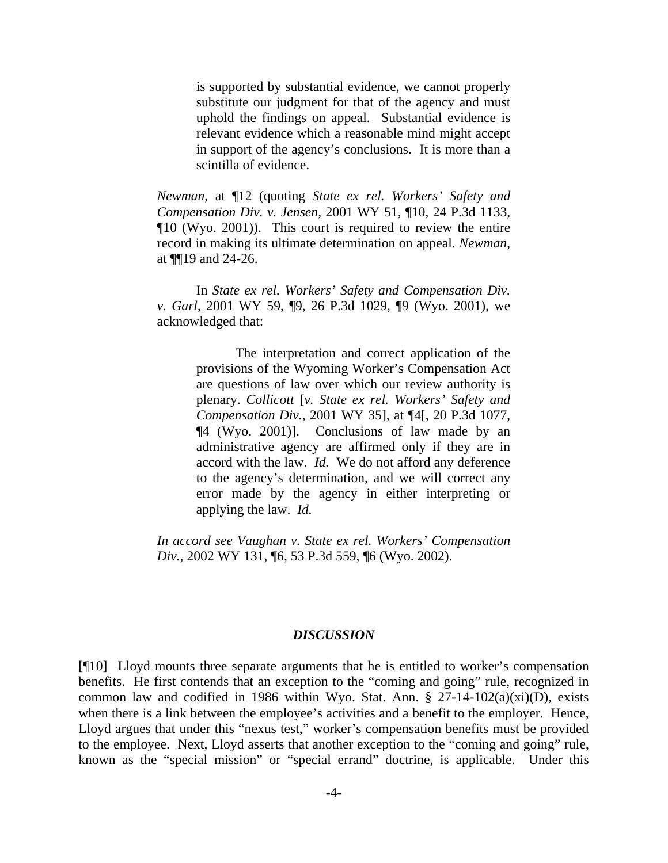is supported by substantial evidence, we cannot properly substitute our judgment for that of the agency and must uphold the findings on appeal. Substantial evidence is relevant evidence which a reasonable mind might accept in support of the agency's conclusions. It is more than a scintilla of evidence.

*Newman*, at ¶12 (quoting *State ex rel. Workers' Safety and Compensation Div. v. Jensen*, 2001 WY 51, ¶10, 24 P.3d 1133, ¶10 (Wyo. 2001)). This court is required to review the entire record in making its ultimate determination on appeal. *Newman*, at ¶¶19 and 24-26.

 In *State ex rel. Workers' Safety and Compensation Div. v. Garl*, 2001 WY 59, ¶9, 26 P.3d 1029, ¶9 (Wyo. 2001), we acknowledged that:

> The interpretation and correct application of the provisions of the Wyoming Worker's Compensation Act are questions of law over which our review authority is plenary. *Collicott* [*v. State ex rel. Workers' Safety and Compensation Div.*, 2001 WY 35], at ¶4[, 20 P.3d 1077, ¶4 (Wyo. 2001)]. Conclusions of law made by an administrative agency are affirmed only if they are in accord with the law. *Id.* We do not afford any deference to the agency's determination, and we will correct any error made by the agency in either interpreting or applying the law. *Id.*

*In accord see Vaughan v. State ex rel. Workers' Compensation Div.*, 2002 WY 131, ¶6, 53 P.3d 559, ¶6 (Wyo. 2002).

#### *DISCUSSION*

[¶10] Lloyd mounts three separate arguments that he is entitled to worker's compensation benefits. He first contends that an exception to the "coming and going" rule, recognized in common law and codified in 1986 within Wyo. Stat. Ann.  $\S$  27-14-102(a)(xi)(D), exists when there is a link between the employee's activities and a benefit to the employer. Hence, Lloyd argues that under this "nexus test," worker's compensation benefits must be provided to the employee. Next, Lloyd asserts that another exception to the "coming and going" rule, known as the "special mission" or "special errand" doctrine, is applicable. Under this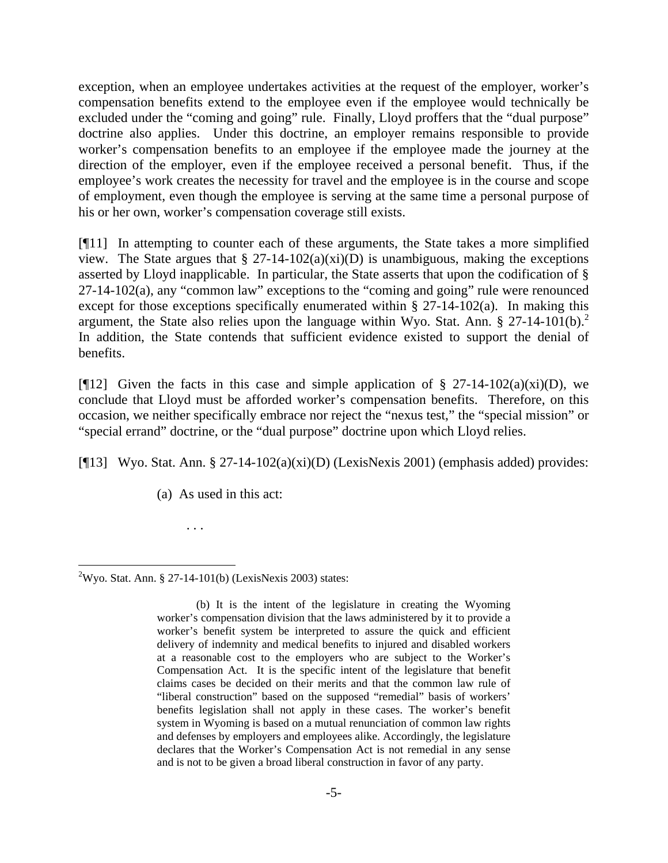exception, when an employee undertakes activities at the request of the employer, worker's compensation benefits extend to the employee even if the employee would technically be excluded under the "coming and going" rule. Finally, Lloyd proffers that the "dual purpose" doctrine also applies. Under this doctrine, an employer remains responsible to provide worker's compensation benefits to an employee if the employee made the journey at the direction of the employer, even if the employee received a personal benefit. Thus, if the employee's work creates the necessity for travel and the employee is in the course and scope of employment, even though the employee is serving at the same time a personal purpose of his or her own, worker's compensation coverage still exists.

[¶11] In attempting to counter each of these arguments, the State takes a more simplified view. The State argues that  $\S 27$ -14-102(a)(xi)(D) is unambiguous, making the exceptions asserted by Lloyd inapplicable. In particular, the State asserts that upon the codification of § 27-14-102(a), any "common law" exceptions to the "coming and going" rule were renounced except for those exceptions specifically enumerated within § 27-14-102(a). In making this argument, the State also relies upon the language within Wyo. Stat. Ann.  $\S 27-14-101(b)$ .<sup>2</sup> In addition, the State contends that sufficient evidence existed to support the denial of benefits.

[ $[12]$ ] Given the facts in this case and simple application of § 27-14-102(a)(xi)(D), we conclude that Lloyd must be afforded worker's compensation benefits. Therefore, on this occasion, we neither specifically embrace nor reject the "nexus test," the "special mission" or "special errand" doctrine, or the "dual purpose" doctrine upon which Lloyd relies.

[ $[13]$  Wyo. Stat. Ann. § 27-14-102(a)(xi)(D) (LexisNexis 2001) (emphasis added) provides:

(a) As used in this act:

 <sup>2</sup>Wyo. Stat. Ann. § 27-14-101(b) (LexisNexis 2003) states:

. . .

 <sup>(</sup>b) It is the intent of the legislature in creating the Wyoming worker's compensation division that the laws administered by it to provide a worker's benefit system be interpreted to assure the quick and efficient delivery of indemnity and medical benefits to injured and disabled workers at a reasonable cost to the employers who are subject to the Worker's Compensation Act. It is the specific intent of the legislature that benefit claims cases be decided on their merits and that the common law rule of "liberal construction" based on the supposed "remedial" basis of workers' benefits legislation shall not apply in these cases. The worker's benefit system in Wyoming is based on a mutual renunciation of common law rights and defenses by employers and employees alike. Accordingly, the legislature declares that the Worker's Compensation Act is not remedial in any sense and is not to be given a broad liberal construction in favor of any party.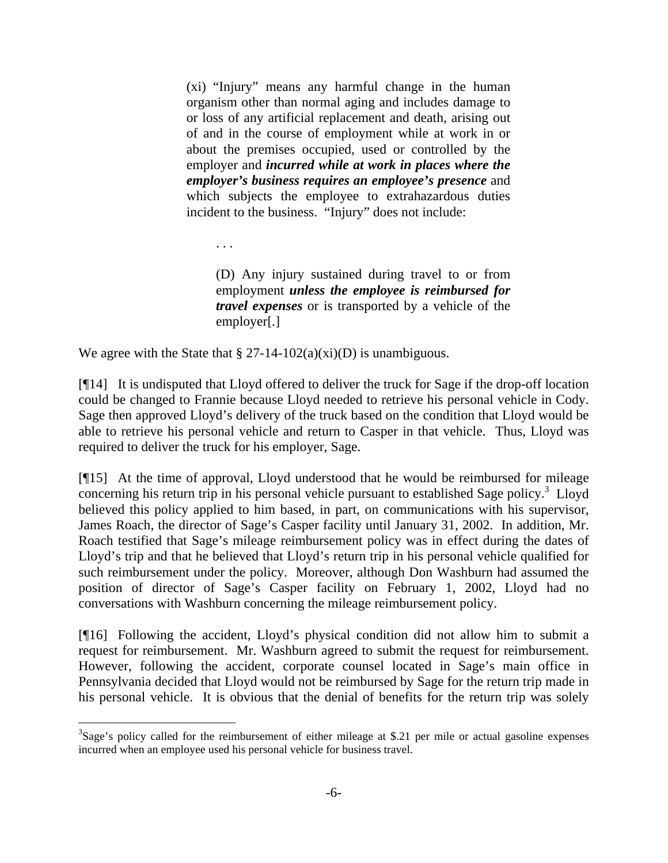(xi) "Injury" means any harmful change in the human organism other than normal aging and includes damage to or loss of any artificial replacement and death, arising out of and in the course of employment while at work in or about the premises occupied, used or controlled by the employer and *incurred while at work in places where the employer's business requires an employee's presence* and which subjects the employee to extrahazardous duties incident to the business. "Injury" does not include:

. . .

 $\overline{a}$ 

(D) Any injury sustained during travel to or from employment *unless the employee is reimbursed for travel expenses* or is transported by a vehicle of the employer[.]

We agree with the State that  $\S 27$ -14-102(a)(xi)(D) is unambiguous.

[¶14] It is undisputed that Lloyd offered to deliver the truck for Sage if the drop-off location could be changed to Frannie because Lloyd needed to retrieve his personal vehicle in Cody. Sage then approved Lloyd's delivery of the truck based on the condition that Lloyd would be able to retrieve his personal vehicle and return to Casper in that vehicle. Thus, Lloyd was required to deliver the truck for his employer, Sage.

[¶15] At the time of approval, Lloyd understood that he would be reimbursed for mileage concerning his return trip in his personal vehicle pursuant to established Sage policy.<sup>3</sup> Lloyd believed this policy applied to him based, in part, on communications with his supervisor, James Roach, the director of Sage's Casper facility until January 31, 2002. In addition, Mr. Roach testified that Sage's mileage reimbursement policy was in effect during the dates of Lloyd's trip and that he believed that Lloyd's return trip in his personal vehicle qualified for such reimbursement under the policy. Moreover, although Don Washburn had assumed the position of director of Sage's Casper facility on February 1, 2002, Lloyd had no conversations with Washburn concerning the mileage reimbursement policy.

[¶16] Following the accident, Lloyd's physical condition did not allow him to submit a request for reimbursement. Mr. Washburn agreed to submit the request for reimbursement. However, following the accident, corporate counsel located in Sage's main office in Pennsylvania decided that Lloyd would not be reimbursed by Sage for the return trip made in his personal vehicle. It is obvious that the denial of benefits for the return trip was solely

 $3$ Sage's policy called for the reimbursement of either mileage at \$.21 per mile or actual gasoline expenses incurred when an employee used his personal vehicle for business travel.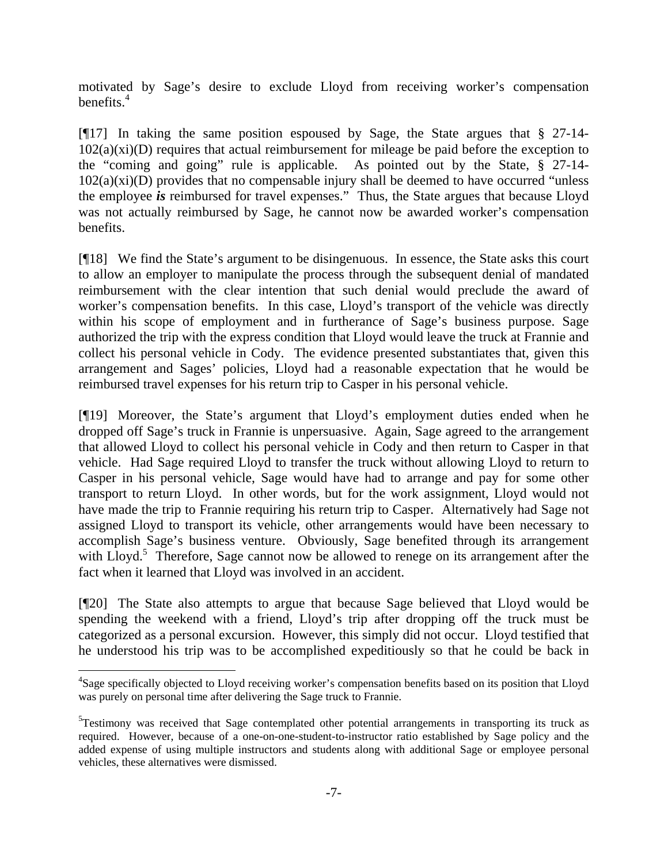motivated by Sage's desire to exclude Lloyd from receiving worker's compensation benefits. $4$ 

[¶17] In taking the same position espoused by Sage, the State argues that § 27-14-  $102(a)(xi)(D)$  requires that actual reimbursement for mileage be paid before the exception to the "coming and going" rule is applicable. As pointed out by the State, § 27-14-  $102(a)(xi)(D)$  provides that no compensable injury shall be deemed to have occurred "unless" the employee *is* reimbursed for travel expenses." Thus, the State argues that because Lloyd was not actually reimbursed by Sage, he cannot now be awarded worker's compensation benefits.

[¶18] We find the State's argument to be disingenuous. In essence, the State asks this court to allow an employer to manipulate the process through the subsequent denial of mandated reimbursement with the clear intention that such denial would preclude the award of worker's compensation benefits. In this case, Lloyd's transport of the vehicle was directly within his scope of employment and in furtherance of Sage's business purpose. Sage authorized the trip with the express condition that Lloyd would leave the truck at Frannie and collect his personal vehicle in Cody. The evidence presented substantiates that, given this arrangement and Sages' policies, Lloyd had a reasonable expectation that he would be reimbursed travel expenses for his return trip to Casper in his personal vehicle.

[¶19] Moreover, the State's argument that Lloyd's employment duties ended when he dropped off Sage's truck in Frannie is unpersuasive. Again, Sage agreed to the arrangement that allowed Lloyd to collect his personal vehicle in Cody and then return to Casper in that vehicle. Had Sage required Lloyd to transfer the truck without allowing Lloyd to return to Casper in his personal vehicle, Sage would have had to arrange and pay for some other transport to return Lloyd. In other words, but for the work assignment, Lloyd would not have made the trip to Frannie requiring his return trip to Casper. Alternatively had Sage not assigned Lloyd to transport its vehicle, other arrangements would have been necessary to accomplish Sage's business venture. Obviously, Sage benefited through its arrangement with Lloyd.<sup>5</sup> Therefore, Sage cannot now be allowed to renege on its arrangement after the fact when it learned that Lloyd was involved in an accident.

[¶20] The State also attempts to argue that because Sage believed that Lloyd would be spending the weekend with a friend, Lloyd's trip after dropping off the truck must be categorized as a personal excursion. However, this simply did not occur. Lloyd testified that he understood his trip was to be accomplished expeditiously so that he could be back in

 $\overline{a}$ 

<sup>&</sup>lt;sup>4</sup>Sage specifically objected to Lloyd receiving worker's compensation benefits based on its position that Lloyd was purely on personal time after delivering the Sage truck to Frannie.

<sup>&</sup>lt;sup>5</sup>Testimony was received that Sage contemplated other potential arrangements in transporting its truck as required. However, because of a one-on-one-student-to-instructor ratio established by Sage policy and the added expense of using multiple instructors and students along with additional Sage or employee personal vehicles, these alternatives were dismissed.